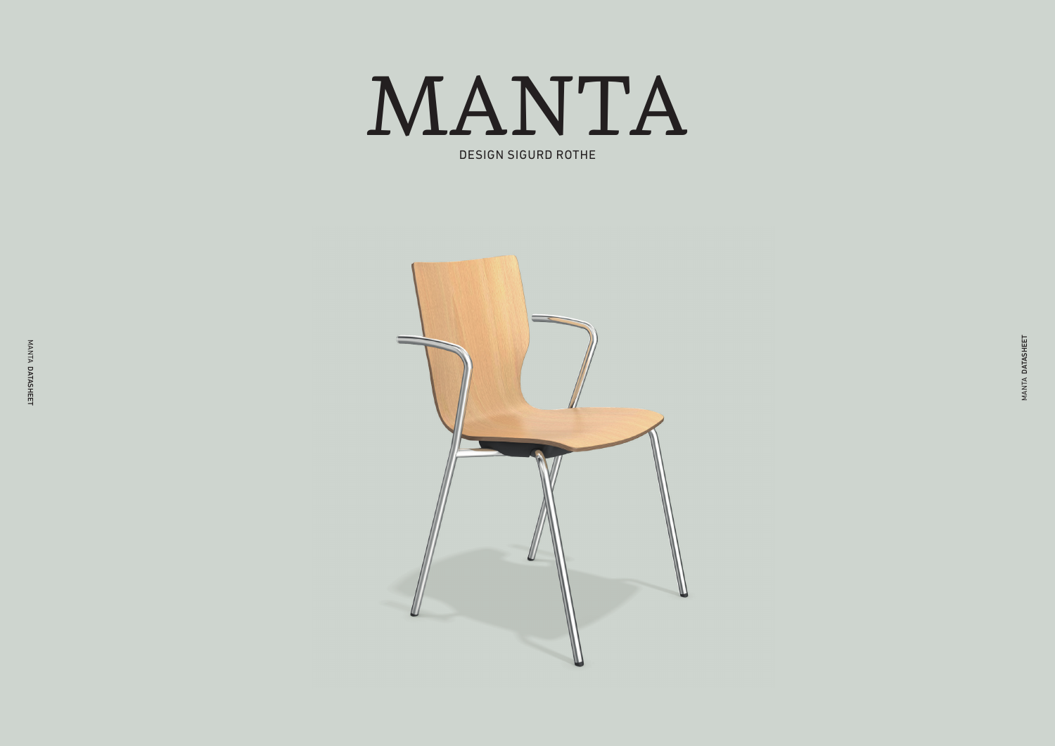

DESIGN SIGURD ROTHE

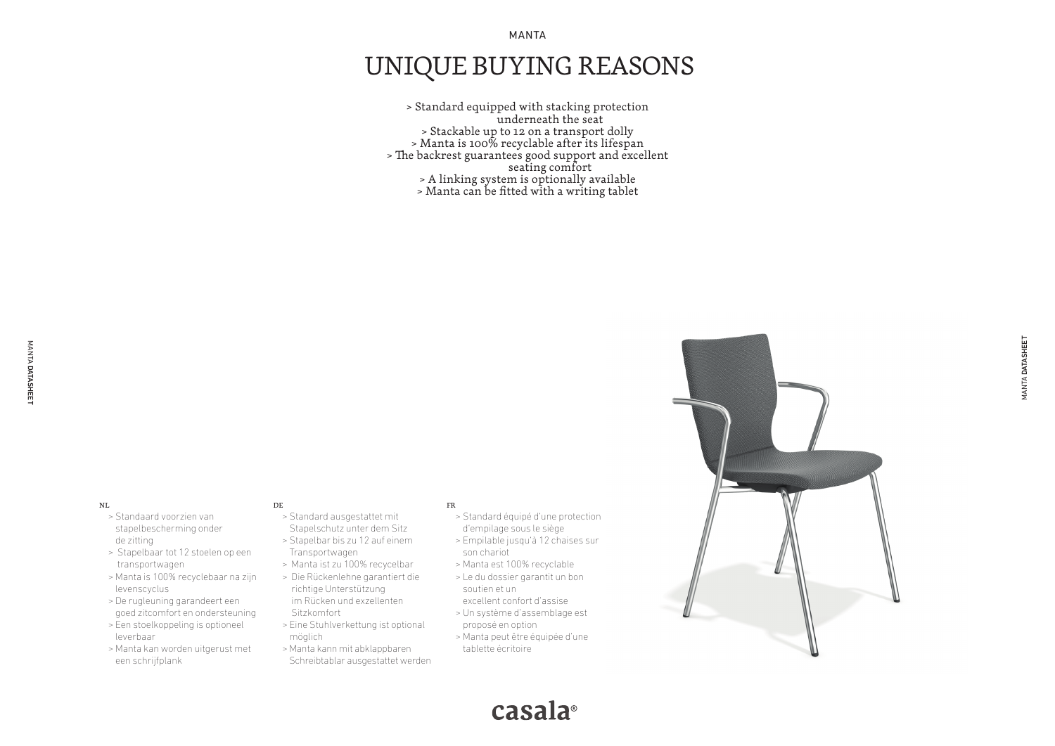MANTA

# UNIQUE BUYING REASONS

> Standard equipped with stacking protection underneath the seat > Stackable up to 12 on a transport dolly > Manta is 100% recyclable after its lifespan > The backrest guarantees good support and excellent seating comfort > A linking system is optionally available > Manta can be fitted with a writing tablet

#### NL

- > Standaard voorzien van stapelbescherming onder de zitting
- > Stapelbaar tot 12 stoelen op een transportwagen
- > Manta is 100% recyclebaar na zijn levenscyclus
- > De rugleuning garandeert een goed zitcomfort en ondersteuning
- > Een stoelkoppeling is optioneel leverbaar
- > Manta kan worden uitgerust met een schrijfplank

#### DE

- > Standard ausgestattet mit Stapelschutz unter dem Sitz
- > Stapelbar bis zu 12 auf einem Transportwagen
- > Manta ist zu 100% recycelbar
- > Die Rückenlehne garantiert die richtige Unterstützung im Rücken und exzellenten Sitzkomfort
- > Eine Stuhlverkettung ist optional möglich
- > Manta kann mit abklappbaren Schreibtablar ausgestattet werden

#### FR

- > Standard équipé d'une protection d'empilage sous le siège
- > Empilable jusqu'à 12 chaises sur son chariot
- > Manta est 100% recyclable
- > Le du dossier garantit un bon soutien et un excellent confort d'assise
- > Un système d'assemblage est proposé en option
- > Manta peut être équipée d'une tablette écritoire
- 



casala<sup>®</sup>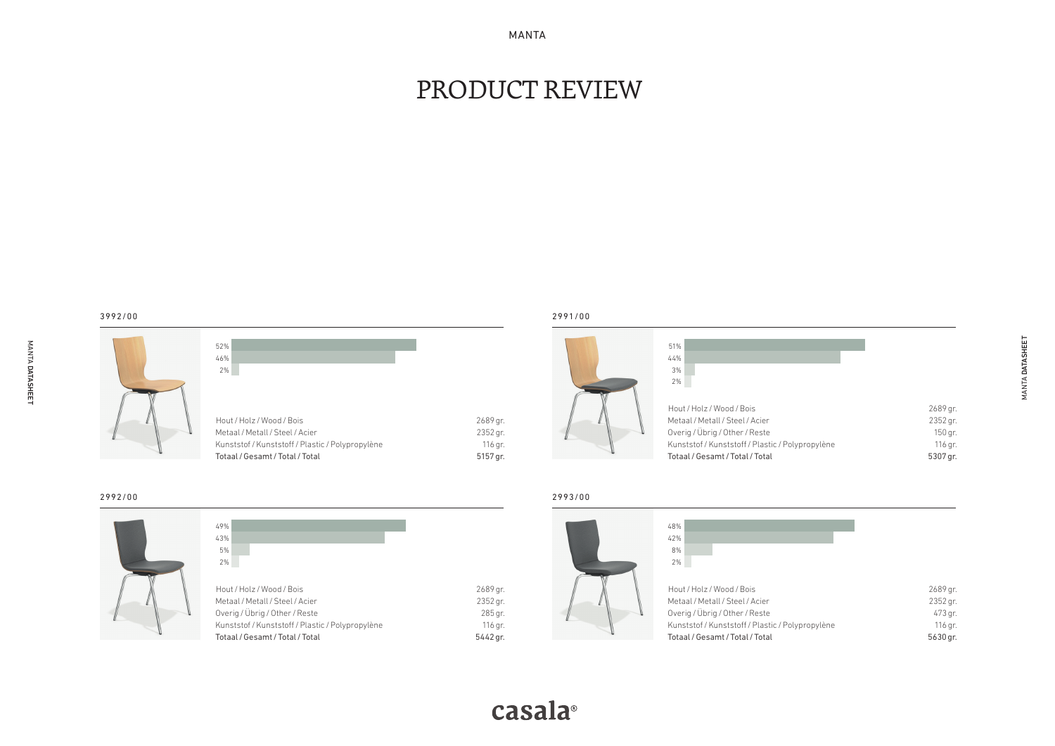MANTA

# PRODUCT REVIEW

MANTA DATASHEET DATASHEET

|  |  | 52% |               |
|--|--|-----|---------------|
|  |  | 46% |               |
|  |  | 2%  |               |
|  |  |     |               |
|  |  |     |               |
|  |  |     | Hout / Holz / |
|  |  |     | Metaal / Meta |
|  |  |     | Kunststof / K |
|  |  |     | Totaal / Gees |

| 52%                                              |          |
|--------------------------------------------------|----------|
| 46%                                              |          |
| 2%                                               |          |
|                                                  |          |
|                                                  |          |
|                                                  |          |
| Hout / Holz / Wood / Bois                        | 2689 gr. |
| Metaal / Metall / Steel / Acier                  | 2352 gr. |
| Kunststof / Kunststoff / Plastic / Polypropylène | 116 gr.  |
| Totaal / Gesamt / Total / Total                  | 5157 gr. |

#### 2991/00

| 51%                                              |          |
|--------------------------------------------------|----------|
| 44%                                              |          |
| 3%                                               |          |
| 2%                                               |          |
|                                                  |          |
| Hout / Holz / Wood / Bois                        | 2689 gr. |
| Metaal / Metall / Steel / Acier                  | 2352 gr. |
| Overig / Übrig / Other / Reste                   | 150 gr.  |
| Kunststof / Kunststoff / Plastic / Polypropylène | 116 gr.  |
| Totaal / Gesamt / Total / Total                  | 5307 gr. |



| 49%                                              |
|--------------------------------------------------|
| 43%                                              |
| 5%                                               |
| 2%                                               |
|                                                  |
| Hout / Holz / Wood / Bois                        |
| Metaal / Metall / Steel / Acier                  |
| Overig / Übrig / Other / Reste                   |
| Kunststof / Kunststoff / Plastic / Polypropylène |
| Totaal / Gesamt / Total / Total                  |
|                                                  |

#### 2993/00

| 48%                                              |          |
|--------------------------------------------------|----------|
| 42%                                              |          |
| 8%                                               |          |
| 2%                                               |          |
|                                                  |          |
| Hout / Holz / Wood / Bois                        | 2689 gr. |
| Metaal / Metall / Steel / Acier                  | 2352 gr. |
| Overig / Übrig / Other / Reste                   | 473 gr.  |
| Kunststof / Kunststoff / Plastic / Polypropylène | 116 gr.  |
| Totaal / Gesamt / Total / Total                  | 5630 gr. |
|                                                  |          |

 $5442$  gr.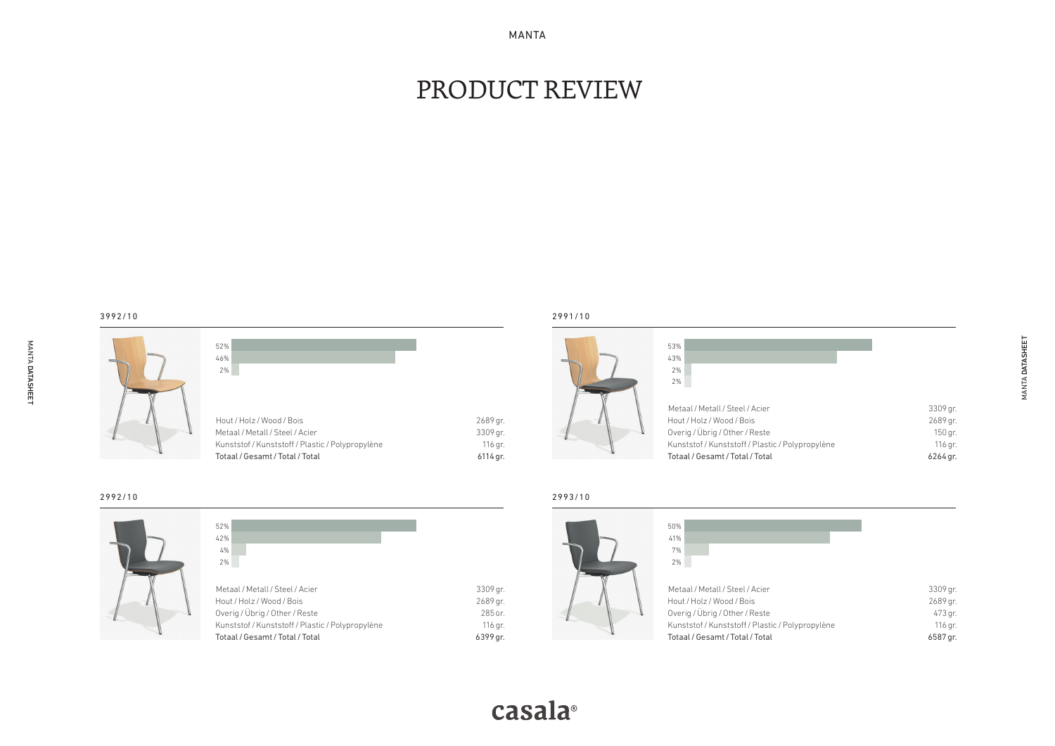MANTA

# PRODUCT REVIEW

MANTA DATASHEET DATASHEET

3992/10

| 52% |                                                                                                                                                     |  |                                             |  |
|-----|-----------------------------------------------------------------------------------------------------------------------------------------------------|--|---------------------------------------------|--|
| 46% |                                                                                                                                                     |  |                                             |  |
| 2%  |                                                                                                                                                     |  |                                             |  |
|     | Hout / Holz / Wood / Bois<br>Metaal / Metall / Steel / Acier<br>Kunststof / Kunststoff / Plastic / Polypropylène<br>Totaal / Gesamt / Total / Total |  | 2689 gr.<br>3309 gr.<br>116 gr.<br>6114 gr. |  |

## 2991/10

| 53%<br>43%<br>2%<br>2%                                                                         |                                   |
|------------------------------------------------------------------------------------------------|-----------------------------------|
| Metaal / Metall / Steel / Acier<br>Hout / Holz / Wood / Bois<br>Overig / Übrig / Other / Reste | 3309 gr.<br>2689 gr.<br>$150$ gr. |
| Kunststof / Kunststoff / Plastic / Polypropylène<br>Totaal / Gesamt / Total / Total            | 116 gr.<br>6264 gr.               |



| 52%                                              |          |
|--------------------------------------------------|----------|
| 42%                                              |          |
| 4%                                               |          |
| 2%                                               |          |
|                                                  |          |
| Metaal / Metall / Steel / Acier                  |          |
|                                                  | 3309 gr. |
| Hout / Holz / Wood / Bois                        | 2689 gr. |
| Overig / Übrig / Other / Reste                   | 285 Gr.  |
| Kunststof / Kunststoff / Plastic / Polypropylène | 116 gr.  |
| Totaal / Gesamt / Total / Total                  | 6399 gr. |
|                                                  |          |

#### 2993/10

6399 gr.

casala<sup>®</sup>

| 50%                                              |          |
|--------------------------------------------------|----------|
| 41%                                              |          |
| 7%                                               |          |
| 2%                                               |          |
|                                                  |          |
| Metaal / Metall / Steel / Acier                  | 3309 gr. |
| Hout / Holz / Wood / Bois                        | 2689 gr. |
| Overig / Übrig / Other / Reste                   | 473 gr.  |
| Kunststof / Kunststoff / Plastic / Polypropylène | 116 gr.  |
| Totaal / Gesamt / Total / Total                  | 6587 gr. |
|                                                  |          |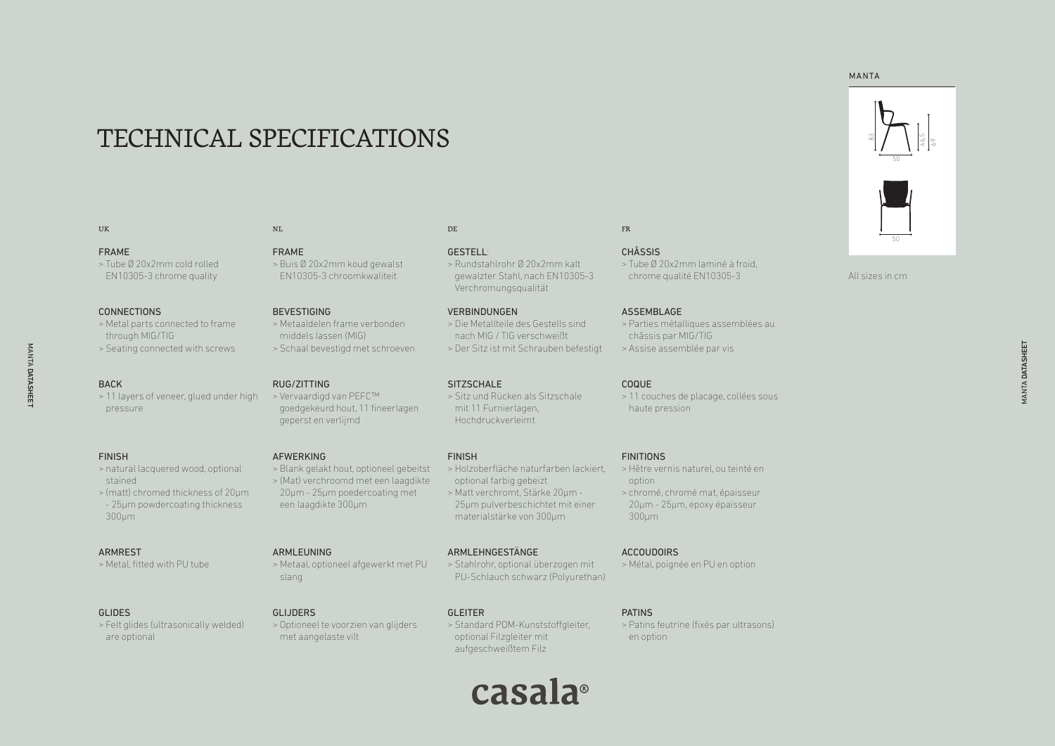# TECHNICAL SPECIFICATIONS

#### UK

#### FRAME

> Tube Ø 20x2mm cold rolled EN10305-3 chrome quality

#### **CONNECTIONS**

> Metal parts connected to frame through MIG/TIG > Seating connected with screws

#### BACK

MANTA MANTA

DATASHEET

DATASHEET

> 11 layers of veneer, glued under high > Vervaardigd van PEFC™ pressure

#### FINISH

- > natural lacquered wood, optional stained
- > (matt) chromed thickness of 20µm - 25µm powdercoating thickness 300µm

#### ARMREST

> Metal, fitted with PU tube

#### GLIDES

> Felt glides (ultrasonically welded) are optional

## FRAME

NL

> Buis Ø 20x2mm koud gewalst EN10305-3 chroomkwaliteit

#### BEVESTIGING

RUG/ZITTING

AFWERKING

ARMLEUNING

slang

GLIJDERS

geperst en verlijmd

een laagdikte 300µm

> Metaaldelen frame verbonden middels lassen (MIG) > Schaal bevestigd met schroeven

goedgekeurd hout, 11 fineerlagen

> Blank gelakt hout, optioneel gebeitst > (Mat) verchroomd met een laagdikte 20µm - 25µm poedercoating met

> Metaal, optioneel afgewerkt met PU

> Optioneel te voorzien van glijders

met aangelaste vilt

#### **SITZSCHALE**

DE

GESTELL:

> Sitz und Rücken als Sitzschale mit 11 Furnierlagen, Hochdruckverleimt

> Rundstahlrohr Ø 20x2mm kalt gewalzter Stahl, nach EN10305-3

> Die Metallteile des Gestells sind nach MIG / TIG verschweißt > Der Sitz ist mit Schrauben befestigt

Verchromungsqualität

**VERBINDUNGEN** 

#### FINISH

- > Holzoberfläche naturfarben lackiert, optional farbig gebeizt > Matt verchromt, Stärke 20µm -
- 25µm pulverbeschichtet mit einer materialstärke von 300µm

#### ARMLEHNGESTÄNGE

> Stahlrohr, optional überzogen mit PU-Schlauch schwarz (Polyurethan)

#### GLEITER

> Standard POM-Kunststoffgleiter, optional Filzgleiter mit aufgeschweißtem Filz

# casala<sup>®</sup>

en option

## CHÂSSIS

FR

> Tube Ø 20x2mm laminé à froid, chrome qualité EN10305-3

#### ASSEMBLAGE

> Parties métalliques assemblées au châssis par MIG/TIG > Assise assemblée par vis

#### COQUE

> 11 couches de placage, collées sous haute pression

#### FINITIONS

- > Hêtre vernis naturel, ou teinté en option
- > chromé, chromé mat, épaisseur 20µm - 25µm, epoxy épaisseur 300µm

#### ACCOUDOIRS

> Métal, poignée en PU en option

#### PATINS

> Patins feutrine (fixés par ultrasons)

#### MANTA